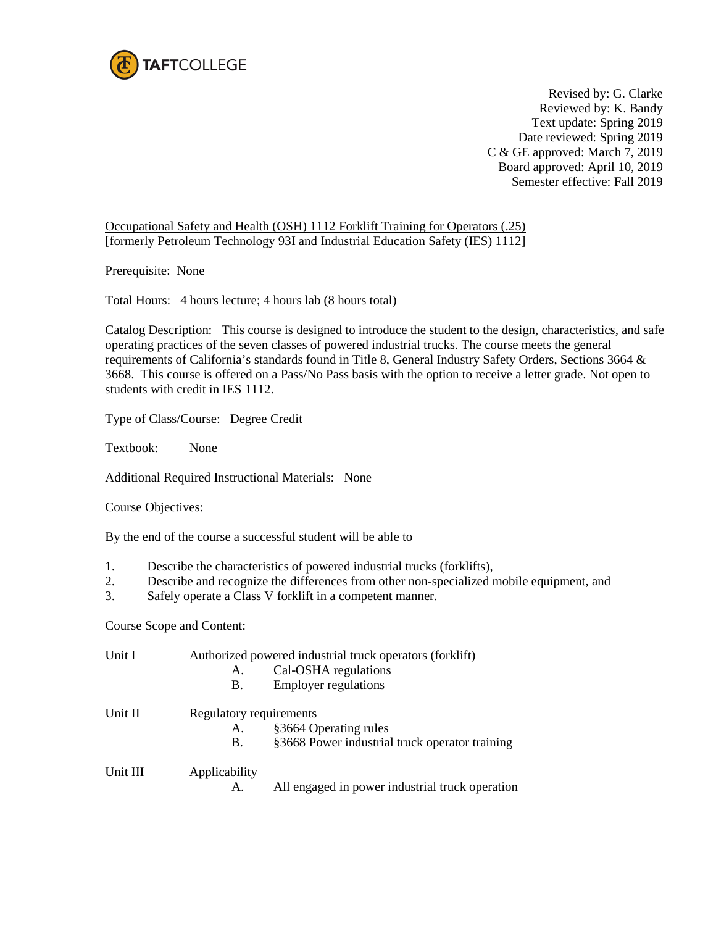

Revised by: G. Clarke Reviewed by: K. Bandy Text update: Spring 2019 Date reviewed: Spring 2019 C & GE approved: March 7, 2019 Board approved: April 10, 2019 Semester effective: Fall 2019

Occupational Safety and Health (OSH) 1112 Forklift Training for Operators (.25) [formerly Petroleum Technology 93I and Industrial Education Safety (IES) 1112]

Prerequisite: None

Total Hours: 4 hours lecture; 4 hours lab (8 hours total)

Catalog Description: This course is designed to introduce the student to the design, characteristics, and safe operating practices of the seven classes of powered industrial trucks. The course meets the general requirements of California's standards found in Title 8, General Industry Safety Orders, Sections 3664 & 3668. This course is offered on a Pass/No Pass basis with the option to receive a letter grade. Not open to students with credit in IES 1112.

Type of Class/Course: Degree Credit

Textbook: None

Additional Required Instructional Materials: None

Course Objectives:

By the end of the course a successful student will be able to

- 1. Describe the characteristics of powered industrial trucks (forklifts),
- 2. Describe and recognize the differences from other non-specialized mobile equipment, and
- 3. Safely operate a Class V forklift in a competent manner.

Course Scope and Content:

| Unit I   | Authorized powered industrial truck operators (forklift) |                                                 |  |
|----------|----------------------------------------------------------|-------------------------------------------------|--|
|          | A.                                                       | Cal-OSHA regulations                            |  |
|          | В.                                                       | <b>Employer regulations</b>                     |  |
| Unit II  | Regulatory requirements                                  |                                                 |  |
|          | А.                                                       | §3664 Operating rules                           |  |
|          | В.                                                       | §3668 Power industrial truck operator training  |  |
| Unit III | Applicability                                            |                                                 |  |
|          | А.                                                       | All engaged in power industrial truck operation |  |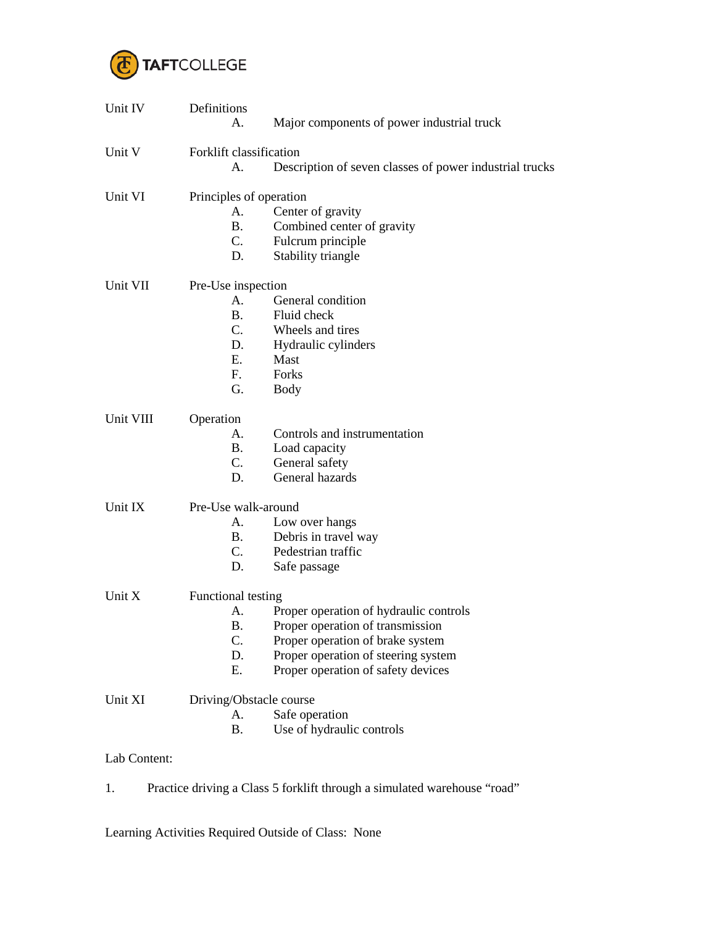

| Unit IV   | Definitions             |                                                         |  |  |
|-----------|-------------------------|---------------------------------------------------------|--|--|
|           | Α.                      | Major components of power industrial truck              |  |  |
| Unit V    |                         | Forklift classification                                 |  |  |
|           | А.                      | Description of seven classes of power industrial trucks |  |  |
| Unit VI   | Principles of operation |                                                         |  |  |
|           | А.                      | Center of gravity                                       |  |  |
|           | <b>B.</b>               | Combined center of gravity                              |  |  |
|           | C.                      | Fulcrum principle                                       |  |  |
|           | D.                      | Stability triangle                                      |  |  |
| Unit VII  | Pre-Use inspection      |                                                         |  |  |
|           | А.                      | General condition                                       |  |  |
|           | <b>B.</b>               | Fluid check                                             |  |  |
|           | $C_{\cdot}$             | Wheels and tires                                        |  |  |
|           | D.                      | Hydraulic cylinders                                     |  |  |
|           | E.                      | Mast                                                    |  |  |
|           | F.                      | Forks                                                   |  |  |
|           | G.                      | <b>Body</b>                                             |  |  |
| Unit VIII | Operation               |                                                         |  |  |
|           | А.                      | Controls and instrumentation                            |  |  |
|           | <b>B.</b>               | Load capacity                                           |  |  |
|           | C.                      | General safety                                          |  |  |
|           | D.                      | General hazards                                         |  |  |
| Unit IX   | Pre-Use walk-around     |                                                         |  |  |
|           | А.                      | Low over hangs                                          |  |  |
|           | <b>B.</b>               | Debris in travel way                                    |  |  |
|           | C.                      | Pedestrian traffic                                      |  |  |
|           | D.                      | Safe passage                                            |  |  |
| Unit X    | Functional testing      |                                                         |  |  |
|           | А.                      | Proper operation of hydraulic controls                  |  |  |
|           | <b>B.</b>               | Proper operation of transmission                        |  |  |
|           | C.                      | Proper operation of brake system                        |  |  |
|           | D.                      | Proper operation of steering system                     |  |  |
|           | Ε.                      | Proper operation of safety devices                      |  |  |
| Unit XI   | Driving/Obstacle course |                                                         |  |  |
|           | А.                      | Safe operation                                          |  |  |
|           | <b>B.</b>               | Use of hydraulic controls                               |  |  |
|           |                         |                                                         |  |  |

Lab Content:

1. Practice driving a Class 5 forklift through a simulated warehouse "road"

Learning Activities Required Outside of Class: None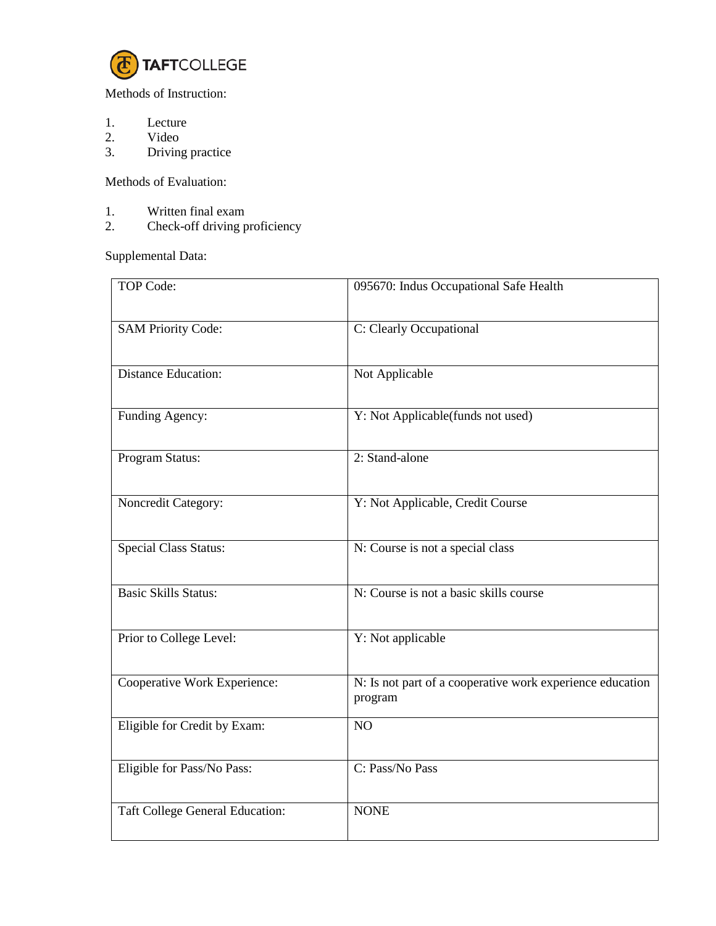

Methods of Instruction:

- 1. Lecture<br>2. Video
- 2. Video<br>3. Driving
- Driving practice

Methods of Evaluation:

- 1. Written final exam<br>2. Check-off driving p
- Check-off driving proficiency

Supplemental Data:

| <b>TOP Code:</b>                       | 095670: Indus Occupational Safe Health                               |
|----------------------------------------|----------------------------------------------------------------------|
| <b>SAM Priority Code:</b>              | C: Clearly Occupational                                              |
| <b>Distance Education:</b>             | Not Applicable                                                       |
| Funding Agency:                        | Y: Not Applicable(funds not used)                                    |
| Program Status:                        | 2: Stand-alone                                                       |
| Noncredit Category:                    | Y: Not Applicable, Credit Course                                     |
| <b>Special Class Status:</b>           | N: Course is not a special class                                     |
| <b>Basic Skills Status:</b>            | N: Course is not a basic skills course                               |
| Prior to College Level:                | Y: Not applicable                                                    |
| Cooperative Work Experience:           | N: Is not part of a cooperative work experience education<br>program |
| Eligible for Credit by Exam:           | NO                                                                   |
| Eligible for Pass/No Pass:             | C: Pass/No Pass                                                      |
| <b>Taft College General Education:</b> | <b>NONE</b>                                                          |